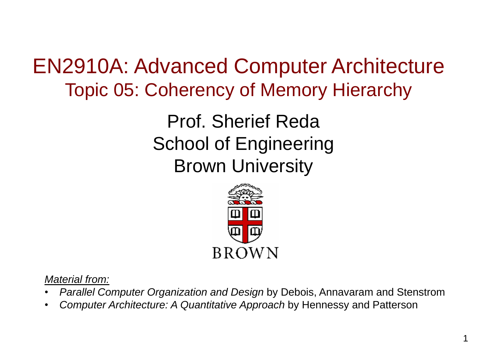EN2910A: Advanced Computer Architecture Topic 05: Coherency of Memory Hierarchy

> Prof. Sherief Reda School of Engineering Brown University



*Material from:*

- *Parallel Computer Organization and Design* by Debois, Annavaram and Stenstrom
- *Computer Architecture: A Quantitative Approach* by Hennessy and Patterson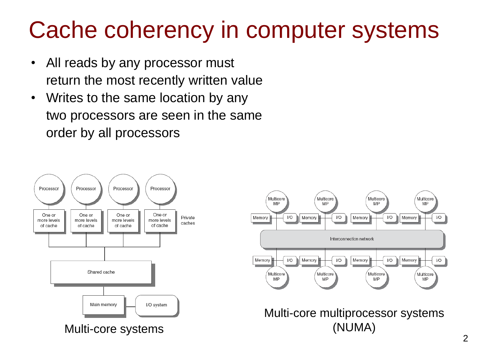### Cache coherency in computer systems

- All reads by any processor must return the most recently written value
- Writes to the same location by any two processors are seen in the same order by all processors





Multi-core multiprocessor systems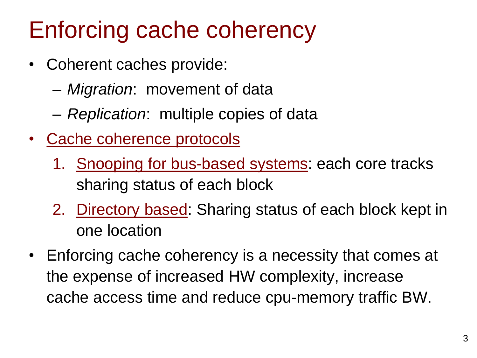# Enforcing cache coherency

- Coherent caches provide:
	- *Migration*: movement of data
	- *Replication*: multiple copies of data
- Cache coherence protocols
	- 1. Snooping for bus-based systems: each core tracks sharing status of each block
	- 2. Directory based: Sharing status of each block kept in one location
- Enforcing cache coherency is a necessity that comes at the expense of increased HW complexity, increase cache access time and reduce cpu-memory traffic BW.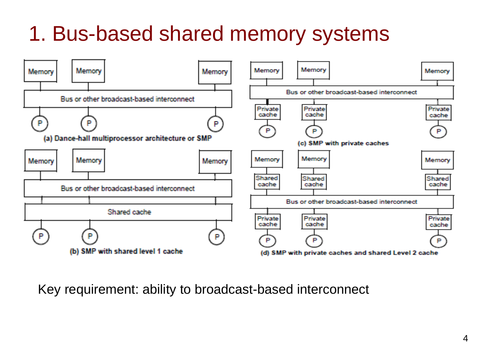#### 1. Bus-based shared memory systems



Key requirement: ability to broadcast-based interconnect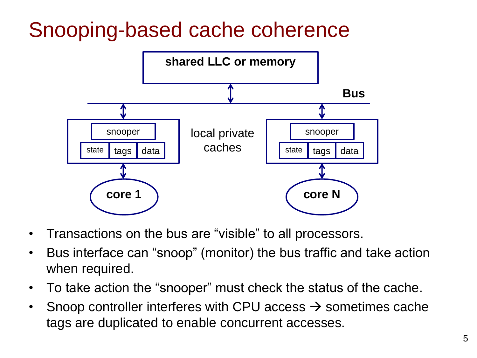#### Snooping-based cache coherence



- Transactions on the bus are "visible" to all processors.
- Bus interface can "snoop" (monitor) the bus traffic and take action when required.
- To take action the "snooper" must check the status of the cache.
- Snoop controller interferes with CPU access  $\rightarrow$  sometimes cache tags are duplicated to enable concurrent accesses.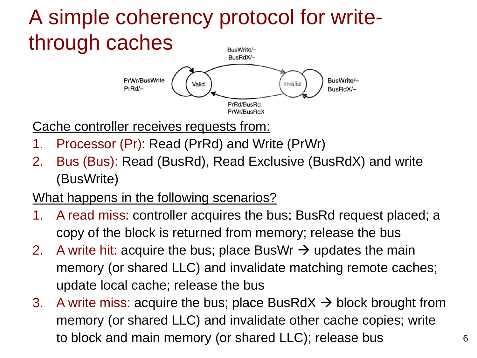#### A simple coherency protocol for writethrough caches **BusWrite/-**



Cache controller receives requests from:

- 1. Processor (Pr): Read (PrRd) and Write (PrWr)
- 2. Bus (Bus): Read (BusRd), Read Exclusive (BusRdX) and write (BusWrite)

#### What happens in the following scenarios?

- 1. A read miss: controller acquires the bus; BusRd request placed; a copy of the block is returned from memory; release the bus
- 2. A write hit: acquire the bus; place BusWr  $\rightarrow$  updates the main memory (or shared LLC) and invalidate matching remote caches; update local cache; release the bus
- 3. A write miss: acquire the bus; place BusRdX  $\rightarrow$  block brought from memory (or shared LLC) and invalidate other cache copies; write to block and main memory (or shared LLC); release bus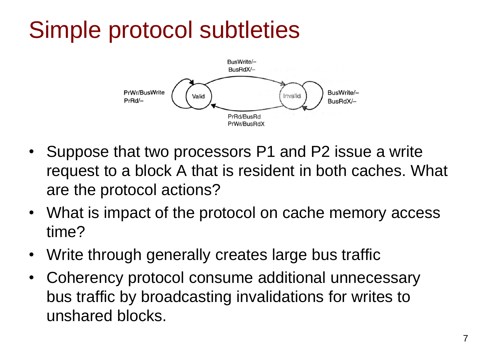# Simple protocol subtleties



- Suppose that two processors P1 and P2 issue a write request to a block A that is resident in both caches. What are the protocol actions?
- What is impact of the protocol on cache memory access time?
- Write through generally creates large bus traffic
- Coherency protocol consume additional unnecessary bus traffic by broadcasting invalidations for writes to unshared blocks.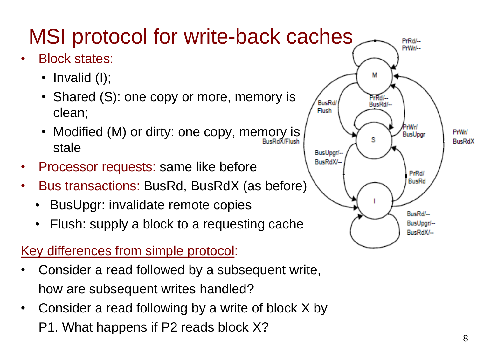#### MSI protocol for write-back caches

- Block states:
	- Invalid (I);
	- Shared (S): one copy or more, memory is clean;
	- Modified (M) or dirty: one copy, memory is stale
- Processor requests: same like before
- Bus transactions: BusRd, BusRdX (as before)
	- BusUpgr: invalidate remote copies
	- Flush: supply a block to a requesting cache

#### Key differences from simple protocol:

- Consider a read followed by a subsequent write, how are subsequent writes handled?
- Consider a read following by a write of block X by P1. What happens if P2 reads block X?

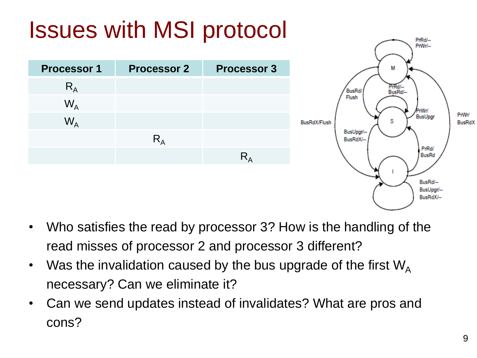

- Who satisfies the read by processor 3? How is the handling of the read misses of processor 2 and processor 3 different?
- Was the invalidation caused by the bus upgrade of the first  $W_A$ necessary? Can we eliminate it?
- Can we send updates instead of invalidates? What are pros and cons?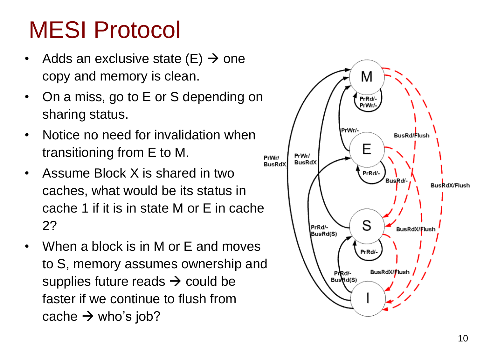# MESI Protocol

- Adds an exclusive state (E)  $\rightarrow$  one copy and memory is clean.
- On a miss, go to E or S depending on sharing status.
- Notice no need for invalidation when transitioning from E to M.
- Assume Block X is shared in two caches, what would be its status in cache 1 if it is in state M or E in cache 2?
- When a block is in M or E and moves to S, memory assumes ownership and supplies future reads  $\rightarrow$  could be faster if we continue to flush from cache  $\rightarrow$  who's job?

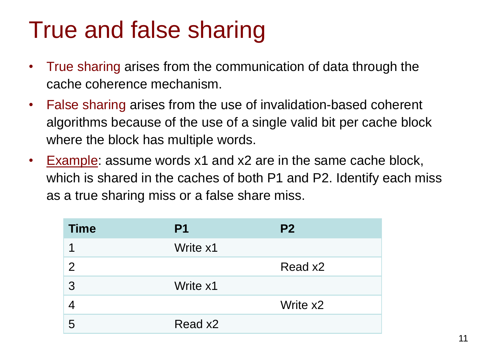#### True and false sharing

- True sharing arises from the communication of data through the cache coherence mechanism.
- False sharing arises from the use of invalidation-based coherent algorithms because of the use of a single valid bit per cache block where the block has multiple words.
- Example: assume words x1 and x2 are in the same cache block, which is shared in the caches of both P1 and P2. Identify each miss as a true sharing miss or a false share miss.

| <b>Time</b> | P <sub>1</sub> | P <sub>2</sub> |
|-------------|----------------|----------------|
|             | Write x1       |                |
| 2           |                | Read x2        |
| 3           | Write x1       |                |
|             |                | Write x2       |
| 5           | Read x2        |                |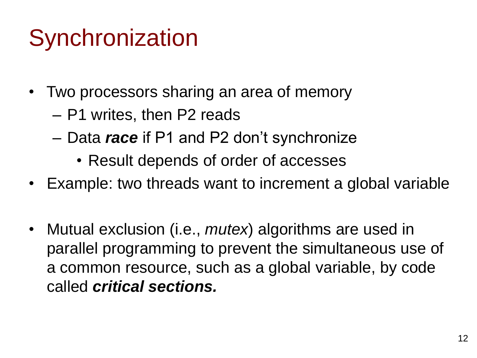# **Synchronization**

- Two processors sharing an area of memory
	- P1 writes, then P2 reads
	- Data *race* if P1 and P2 don't synchronize
		- Result depends of order of accesses
- Example: two threads want to increment a global variable
- Mutual exclusion (i.e., *mutex*) algorithms are used in parallel programming to prevent the simultaneous use of a common resource, such as a global variable, by code called *critical sections.*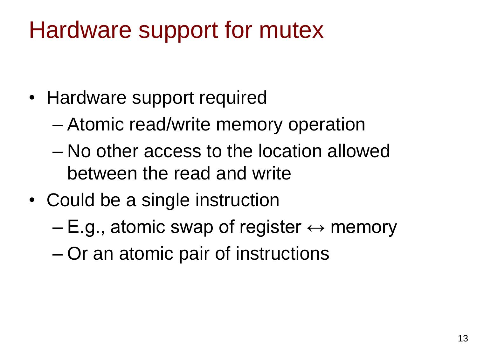### Hardware support for mutex

- Hardware support required
	- Atomic read/write memory operation
	- No other access to the location allowed between the read and write
- Could be a single instruction
	- E.g., atomic swap of register  $\leftrightarrow$  memory
	- Or an atomic pair of instructions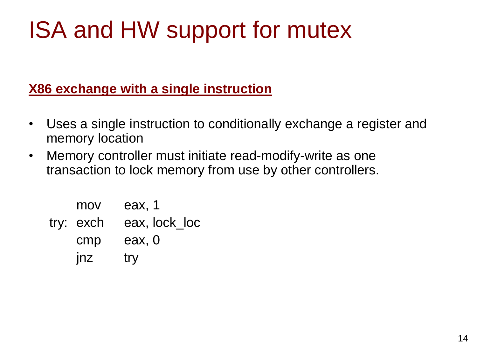# ISA and HW support for mutex

#### **X86 exchange with a single instruction**

- Uses a single instruction to conditionally exchange a register and memory location
- Memory controller must initiate read-modify-write as one transaction to lock memory from use by other controllers.

| mov       | eax, 1        |
|-----------|---------------|
| try: exch | eax, lock loc |
| cmp       | eax, 0        |
| jnz       | try           |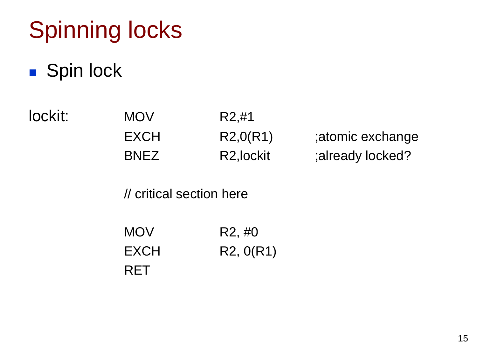# Spinning locks

#### **Spin lock**

lockit: MOV R2,#1 EXCH R2,0(R1) ;atomic exchange BNEZ R2, lockit ;already locked?

// critical section here

| <b>MOV</b> | R <sub>2</sub> , #0 |
|------------|---------------------|
| EXCH       | R2, 0(R1)           |
| <b>RET</b> |                     |